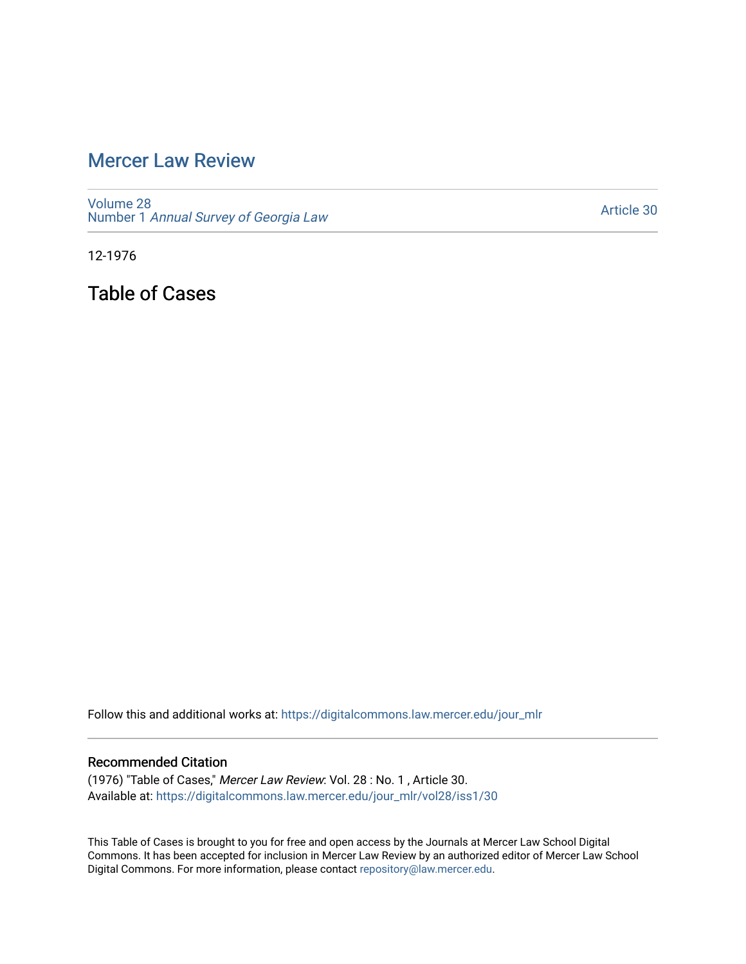## [Mercer Law Review](https://digitalcommons.law.mercer.edu/jour_mlr)

[Volume 28](https://digitalcommons.law.mercer.edu/jour_mlr/vol28) Number 1 [Annual Survey of Georgia Law](https://digitalcommons.law.mercer.edu/jour_mlr/vol28/iss1) 

[Article 30](https://digitalcommons.law.mercer.edu/jour_mlr/vol28/iss1/30) 

12-1976

Table of Cases

Follow this and additional works at: [https://digitalcommons.law.mercer.edu/jour\\_mlr](https://digitalcommons.law.mercer.edu/jour_mlr?utm_source=digitalcommons.law.mercer.edu%2Fjour_mlr%2Fvol28%2Fiss1%2F30&utm_medium=PDF&utm_campaign=PDFCoverPages)

## Recommended Citation

(1976) "Table of Cases," Mercer Law Review: Vol. 28 : No. 1 , Article 30. Available at: [https://digitalcommons.law.mercer.edu/jour\\_mlr/vol28/iss1/30](https://digitalcommons.law.mercer.edu/jour_mlr/vol28/iss1/30?utm_source=digitalcommons.law.mercer.edu%2Fjour_mlr%2Fvol28%2Fiss1%2F30&utm_medium=PDF&utm_campaign=PDFCoverPages) 

This Table of Cases is brought to you for free and open access by the Journals at Mercer Law School Digital Commons. It has been accepted for inclusion in Mercer Law Review by an authorized editor of Mercer Law School Digital Commons. For more information, please contact [repository@law.mercer.edu](mailto:repository@law.mercer.edu).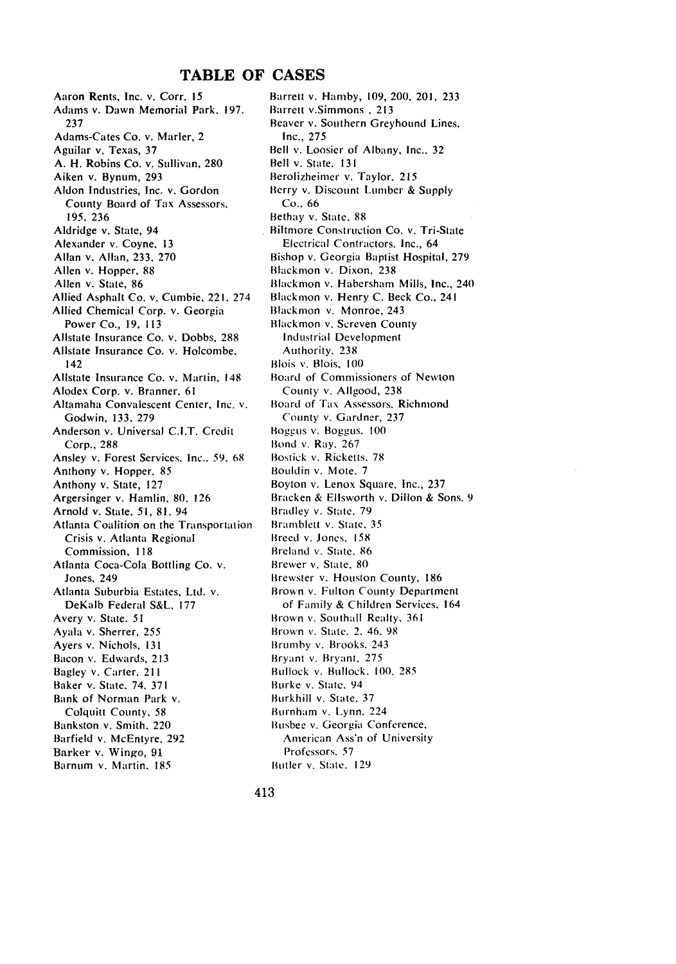## **TABLE OF CASES**

Aaron Rents, Inc. v. Corr, 15 Adams v. Dawn Memorial Park. 197. **237** Adams-Cates Co. v. Marler, 2 Aguilar v. Texas, **37 A.** H. Robins Co. v. Sullivan, **280** Aiken v. Bynum, **293** Aldon Industries, Inc. v. Gordon County Board of Tax Assessors. 195, **236** Aldridge v. State, 94 Alexander v. Coyne, **13** Allan v. Allan, **233, 270** Allen v. Hopper, **88** Allen v. State, **86** Allied Asphalt Co. v. Cumbie, 221. 274 Allied Chemical Corp. v. Georgia Power Co., **19, 113** Allstate Insurance Co. v. Dobbs, **288** Allstate Insurance Co. v. Holcombe. 142 Allstate Insurance Co. v. Martin, 148 Alodex Corp. v. Branner. **61** Altamaha Convalescent Center, Inc. v. Godwin, **133. 279** Anderson v. Universal **C.I.T.** Credit Corp., **288** Ansley v. Forest Services, Inc.. **59,** 68 Anthony v. Hopper. **85** Anthony v. State, **127** Argersinger v. Hamlin, **80. 126** Arnold v. State, **51, 81,** 94 Atlanta Coalition on the Transportation Crisis v. Atlanta Regional Commission, 118 Atlanta Coca-Cola Bottling Co. v. Jones, 249 Atlanta Suburbia Estates, Ltd. v. DeKalb Federal **S&L,** 177 Avery v. State. 51 Ayala v. Sherrer, 255 Ayers v. Nichols, 131 Bacon v. Edwards, 213 Bagley v. Carter, 211 Baker v. State, 74, 371 Bank of Norman Park v. Colquitt County, 58 Bankston v. Smith, 220 Barfield v. McEntyre. 292 Barker v. Wingo, **91** Barnum v. Martin. 185

Barrett v. Hamby, 109, 200. 201, 233 Barrett v.Simmons **,** 213 Beaver v. Southern Greyhound Lines. Inc., 275 Bell **v.** Loosier of Albany, Inc.. 32 Bell v. State. 131 Berolizheimer v. Taylor, 215 Berry v. Discount Lumber **&** Supply Co., 66 Bethay v. State. 88 Biltmore Construction Co. v. Tri-State Electrical Contractors. Inc., 64 Bishop v. Georgia Baptist Hospital, 279 Blackmon v. Dixon, 238 Blackmon v. Habersham Mills, Inc., 240 Blackmon v. Henry C. Beck Co., 241 Blackmon v. Monroe, 243 Blackmon v. Screven County Industrial Development Authority. 238 Blois **v.** Blois, **100** Board of Commissioners of Newton County v. Allgood, 238 Board of **[ax** Assessors, Richmond County v. Gardner, 237 Boggus v. Boggus. 100 Bond v. Ray. 267 Bostick v. Ricketts, 78 Bouldin v. Mote, 7 Boyton v. Lenox Square, Inc., 237 Bracken & Elsworth v. Dillon **&** Sons. 9 Bradley v. State. 79 Bramblett v. State, 35 Breed v. Jones, 158 Breland v. State. **86** Brewer v. State. 80 Brewster v. Houston County, 186 Brown v. Fulton County Department of Family **&** Children Services. 164 Brown v. Southall Realty, 361 Brown v. State, 2. 46. 98 Brumby v. Brooks, 243 Bryant v. Bryant. 275 Bullock v. Bullock, 100. **285** Burke v. State, 94 Burkhill v. State. 37 Burnham v. Lynn. 224 Busbee v. Georgia Conference, American Ass'n of University Professors. 57

Butler v. State. 129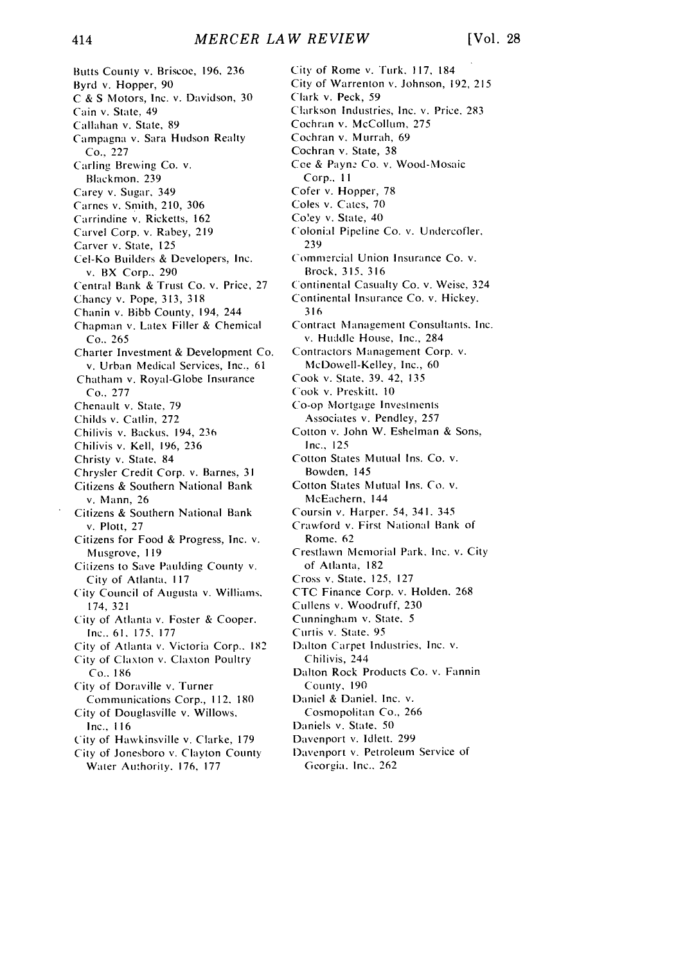Butts County v. Briscoe, 196, 236 Byrd v. Hopper, 90 C & S Motors, Inc. v. Davidson, 30 Cain v. State. 49 Callahan v. State, 89 Campagna v. Sara Hudson Realty Co., 227 Carling Brewing Co. v. Blackmon. 239 Carey v. Sugar, 349 Carnes v. Smith, 210, 306 Carrindine v. Ricketts, 162 Carvel Corp. v. Rabey, 219 Carver v. State, 125 Cel-Ko Builders & Developers, Inc. v. BX Corp.. 290 Central Bank & Trust Co. v. Price, 27 Chancy v. Pope, 313, 318 Chanin v. Bibb County, 194, 244 Chapman v. Latex Filler & Chemical Co.. 265 Charter Investment & Development Co. v. Urban Medical Services, Inc.. 61 Chatham v. Royal-Globe Insurance Co.. 277 Chenault v. State, 79 Childs v. Catlin, 272 Chilivis v. Backus. 194, 236 Chilivis v. Kell, 196, 236 Christy v. State, 84 Chrysler Credit Corp. v. Barnes, 31 Citizens **&** Southern National Bank v. Mann, 26 Citizens & Southern National Bank v. Plott, **27** Citizens for Food & Progress, Inc. v. Musgrove, 119 Citizens to Save Paulding County v. City of Atlanta. 117 City Council of Augusta v. Williams. 174, 321 City of Atlanta v. Foster & Cooper. Inc.. *61.* 175. 177 City of Atlanta v. Victoria Corp.. 182 City of Claxton v. Claxton Poultry Co.. 186 City of Doraville v. Turner Communications Corp., 112. 180 City of Douglasville v. Willows, Inc., 116 City of Hawkinsville v. Clarke, 179 City of Jonesboro v. Clayton County Water Authority. 176, 177

City of Rome v. Turk. 117, 184 City of Warrenton v. Johnson, 192, **<sup>215</sup>** Clark v. Peck, 59 Clarkson Industries, Inc. v. Price. 283 Cochran v. McCollum, 275 Cochran v. Murrah, 69 Cochran v. State, 38 Coe & Payne Co. v. Wood-Mosaic Corp., **II** Cofer v. Hopper, 78 Coles v. Cates, 70 Co'ey v. State, 40 C'olonial Pipeline Co. v. Undercofler. 239 Commercial Union Insurance Co. v. Brock, 315. 316 Continental Casualty Co. v. Weise, 324 Continental Insurance Co. v. Hickey. 316 Contract Management Consultants. Inc. v. Huddle House, Inc., 284 Contractors Management Corp. v. McDowell-Kelley, Inc., 60 Cook v. State, 39. 42, 135 Cook v. Preskitt. 10 Co-op Mortgage Investments Associates v. Pendley, 257 Cotton v. John W. Eshelman & Sons, Inc., **<sup>125</sup>** Cotton States Mutual Ins. Co. v. Bowden. 145 Cotton States Mutual Ins. Co. v. NcEachern, 144 Coursin v. Harper. 54, 341. 345 Crawford v. First National Bank of Rome. 62 Crestlawn Memorial Park. Inc. v. City of Atlanta. 182 Cross v. State, 125, 127 CTC Finance Corp. v. Holden. 268 Cullens v. Woodruff, 230 Cunningham v. State. **5** Curtis v. State. 95 Dalton Carpet Industries, Inc. v. Chilivis, 244 Dalton Rock Products Co. v. Fannin County, **<sup>190</sup>** Daniel & Daniel. Inc. v. Cosmopolitan Co., 266 Daniels v. State, **50** Davenport v. Idlett. 299 Davenport v. Petroleum Service of

Gcorgia. Inc.. 262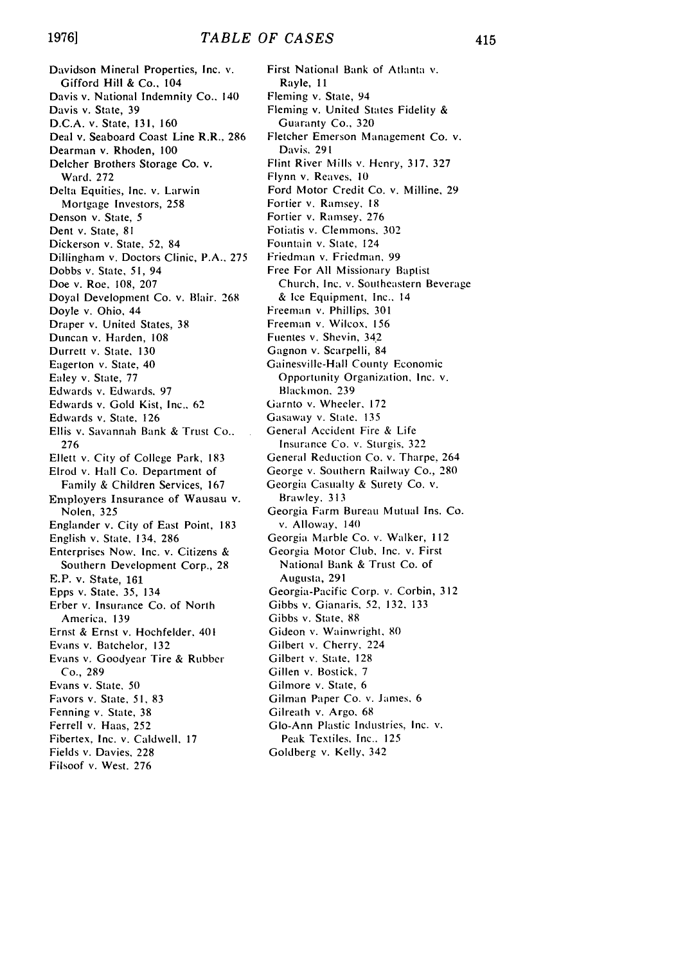Davidson Mineral Properties, Inc. v. Gifford Hill & Co., 104 Davis v. National Indemnity Co.. 140 Davis v. State, **39 D.C.A.** v. State, **131, 160** Deal v. Seaboard Coast Line R.R.. **286** Dearman v. Rhoden, **100** Delcher Brothers Storage Co. v. Ward. **272** Delta Equities, Inc. v. Larwin Mortgage Investors, **258** Denson v. State, *5* Dent v. State, **81** Dickerson v. State, **52,** 84 Dillingham v. Doctors Clinic, P.A.. **275** Dobbs v. State, **51,** 94 Doe v. Roe. **108, 207** Doyal Development Co. v. Blair. **268** Doyle v. Ohio, 44 Draper v. United States, **38** Duncan v. Harden, **108** Durrett v. State, **130** Eagerton v. State, 40 Ealey v. State, 77 Edwards v. Edwards. 97 Edwards v. Gold Kist, Inc.. 62 Edwards v. State. **126** Ellis v. Savannah Bank & Trust Co.. 276 Ellett v. City of College Park, 183 Elrod v. Hall Co. Department of Family & Children Services, 167 Employers Insurance of Wausau v. Nolen, 325 Englander v. City of East Point, 183 English v. State, 134, 286 Enterprises Now. Inc. v. Citizens & Southern Development Corp., 28 E.P. v. State, 161 Epps v. State, *35,* 134 Erber v. Insurance Co. of North America, 139 Ernst & Ernst v. Hochfelder. 401 Evans v. Batchelor, 132 Evans v. Goodyear Tire & Rubber Co., 289 Evans v. State. 50 Favors v. State, *51,* 83 Fenning v. State, 38 Ferrell v. Haas, 252 Fibertex. Inc. v. Caldwell, 17 Fields v. Davies, 228 Filsoof v. West. 276

First National Bank of Atlanta v. Rayle, 11 Fleming v. State, 94 Fleming v. United States Fidelity & Guaranty Co., **320** Fletcher Emerson Management Co. v. Davis. **291** Flint River Mills v. Henry, **317, 327** Flynn v. Reaves, **10** Ford Motor Credit Co. v. Milline, **29** Fortier v. Ramsey. **18** Fortier v. Ramsey. **276** Fotiatis v. Clemmons. **302** Fountain v. State, 124 Friedman v. Friedman, **99** Free For **All** Missionary Baptist Church, Inc. v. Southeastern Beverage & Ice Equipment, Inc.. 14 Freeman v. Phillips. **301** Freeman v. Wilcox, **156** Fuentes v. Shevin, 342 Gagnon v. Scarpelli, 84 Gainesville-Hall County Economic Opportunity Organization, Inc. v. Blackmon. 239 Garnto v. Wheeler, 172 Gasaway v. State. 135 General Accident Fire & Life Insurance Co. **V.** Sturgis, 322 General Reduction Co. v. Tharpe, 264 George v. Southern Railway Co., 280 Georgia Casualty & Surety Co. v. Brawley. 313 Georgia Farm Bureau Mutual Ins. Co. v. Alloway, 140 Georgia Marble Co. v. Walker, 112 Georgia Motor Club, Inc. v. First National Bank & Trust Co. of Augusta, 291 Georgia-Pacific Corp. v. Corbin, 3 12 Gibbs v. Gianaris, 52, 132, **133** Gibbs v. State, 88 Gideon v. Wainwright, 80 Gilbert v. Cherry. 224 Gilbert v. State, 128 Gillen v. Bostick, 7 Gilmore v. State, 6 Gilman Paper Co. v. James. 6 Gilreath v. Argo, 68 Go-Ann Plastic Industries, Inc. v. Peak Textiles. Inc.. 125 Goldberg v. Kelly, 342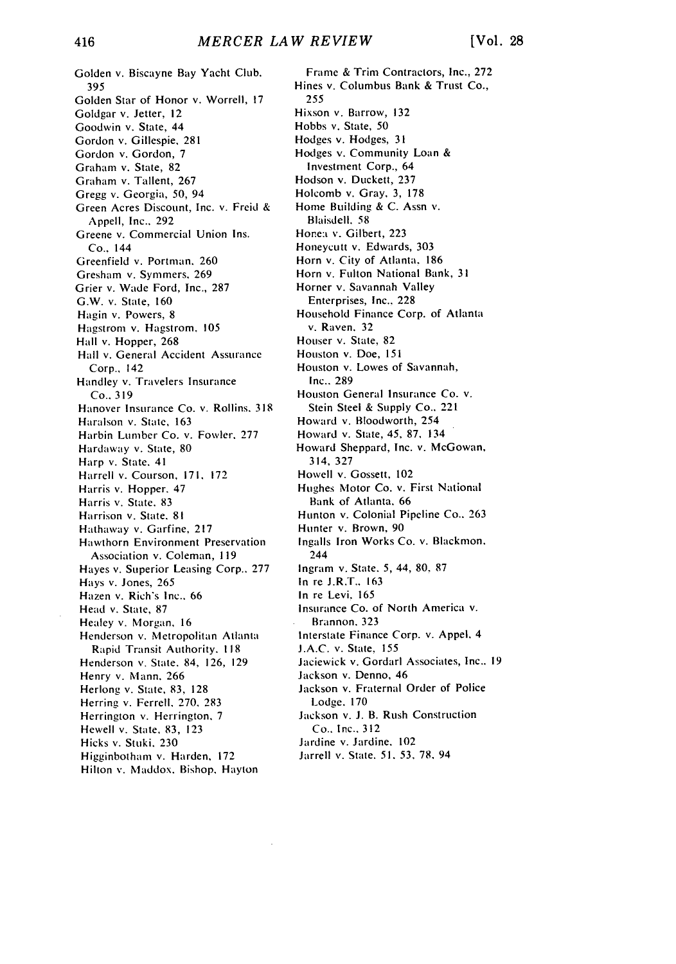Golden v. Biscayne Bay Yacht Club. 395 Golden Star of Honor v. Worrell, 17 Goldgar v. Jetter, 12 Goodwin v. State, 44 Gordon v. Gillespie, 281 Gordon v. Gordon, 7 Graham v. State, 82 Graham v. Tallent, 267 Gregg v. Georgia, 50, 94 Green Acres Discount, Inc. v. Freid & Appell, Inc.. 292 Greene v. Commercial Union Ins. Co.. 144 Greenfield v. Portman. 260 Gresham v. Symmers. 269 Grier v. Wade Ford, Inc., 287 G.W. v. State, **160** Hagin v. Powers, 8 Hagstrom v. Hagstrom. **105 Hall** v. Hopper, 268 Hall v. General Accident Assurance Corp., 142 Handley v. Travelers Insurance Co.. 319 Hanover Insurance Co. v. Rollins. 318 Haralson v. State, 163 Harbin Lumber Co. v. Fowler. 277 Hardaway v. State, 80 Harp v. State. 41 Harrell v. Courson, 171, 172 Harris v. Hopper. 47 Harris v. State. 83 Harrison v. State. 81 Hathaway v. Garfine, 217 Hawthorn Environment Preservation Association v. Coleman, 119 Hayes v. Superior Leasing Corp.. 277 Hays v. Jones, 265 Hazen v. Rich's Inc., 66 Head v. State, 87 Healey v. Morgan, 16 Henderson v. Metropolitan Atlanta Rapid Transit Authority. **118** Henderson v. State. 84, 126, 129 Henry v. Mann. 266 Herlong v. State, **83,** 128 Herring v. Ferrell, 270, 283 Herrington v. Herrington. 7 Hewell v. State, 83, 123 Hicks v. Stuki. 230 Higginbotham v. Harden, 172 Hilton v. Maddox. Bishop, Hayton

Frame & Trim Contractors, Inc., 272 Hines v. Columbus Bank & Trust Co., 255 Hixson v. Barrow, 132 Hobbs v. State, 50 Hodges v. Hodges, 31 Hodges v. Community Loan & Investment Corp., 64 Hodson v. Duckett, 237 Holcomb v. Gray, 3, 178 Home Building & C. Assn v. Blaisdell. 58 Honea v. Gilbert, 223 Honeycutt v. Edwards, 303 Horn v. City of Atlanta. 186 Horn v. Fulton National Bank, **31** Horner v. Savannah Valley Enterprises, Inc.. 228 Household Finance Corp. of Atlanta v. Raven. 32 Houser v. State, 82 Houston v. Doe, 151 Houston v. Lowes of Savannah, Inc.. 289 Houston General Insurance Co. v. Stein Steel & Supply Co.. **221** Howard v. Bloodworth, 254 Howard v. State, 45, **87,** 134 Howard Sheppard, Inc. v. McGowan, 314, 327 Howell v. Gossett, 102 Hughes Motor Co. v. First National Bank of Atlanta, 66 Hunton v. Colonial Pipeline Co.. 263 Hunter v. Brown, 90 Ingalls Iron Works Co. v. Blackmon. 244 Ingram v. State. 5, 44, **80.** 87 In re J.R.T.. 163 In re Levi. 165 Insurance Co. of North America v. Brannon. 323 Interstate Finance Corp. v. Appel, 4 **J.A.C.** v. State, 155 Jaciewick v. Gordarl Associates, Inc.. 19 Jackson v. Denno, 46 Jackson v. Fraternal Order of Police Lodge. 170 Jackson v. **J.** B. Rush Construction Co.. Inc.. 312 Jardine v. Jardine. 102 Jarrell v. State. 51. **53, 78,** 94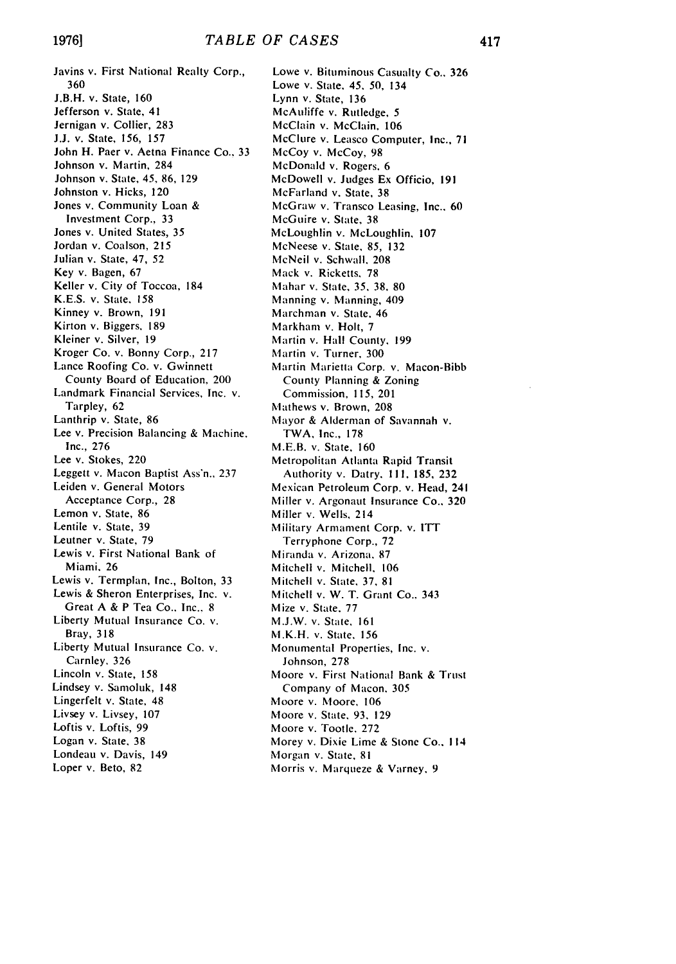Javins v. First National Realty Corp., 360 **J.B.H.** v. State, **160** Jefferson v. State, 41 Jernigan v. Collier, 283 J.J. v. State, 156, 157 John H. Paer v. Aetna Finance Co.. 33 Johnson v. Martin, 284 Johnson v. State, 45, 86, 129 Johnston v. Hicks, 120 Jones v. Community Loan & Investment Corp., 33 Jones v. United States, 35 Jordan v. Coalson, 215 Julian v. State, 47, 52 Key v. Bagen, 67 Keller v. City of Toccoa, 184 K.E.S. v. State. 158 Kinney v. Brown, 191 Kirton v. Biggers, 189 Kleiner v. Silver, 19 Kroger Co. v. Bonny Corp., 217 Lance Roofing Co. v. Gwinnett County Board of Education. 200 Landmark Financial Services, Inc. v. Tarpley, 62 Lanthrip v. State, 86 Lee v. Precision Balancing & Machine. Inc., 276 Lee v. Stokes, 220 Leggett v. Macon Baptist Ass'n., 237 Leiden v. General Motors Acceptance Corp., 28 Lemon v. State, 86 Lentile v. State, 39 Leutner v. State, 79 Lewis v. First National Bank of Miami. 26 Lewis v. Termplan, Inc., Bolton, 33 Lewis & Sheron Enterprises, Inc. v. Great A & P Tea Co.. Inc.. 8 Liberty Mutual Insurance Co. v. Bray, 318 Liberty Mutual Insurance Co. v. Carnley. 326 Lincoln v. State, 158 Lindsey v. Samoluk, 148 Lingerfelt v. State, 48 Livsey v. Livsey, 107 Loftis v. Loftis, 99 Logan v. State, 38 Londeau v. Davis, 149 Loper v. Beto, 82

Lowe v. Bituminous Casualty Co., 326 Lowe v. State. 45. 50, 134 Lynn v. State, 136 McAuliffe v. Rutledge, 5 McClain v. McClain, **106** McClure v. Leasco Computer, Inc., 71 McCoy v. McCoy, 98 McDonald v. Rogers. 6 McDowell v. Judges Ex Officio, 191 McFarland v. State, 38 McGraw v. Transco Leasing, Inc.. 60 McGuire v. State. 38 McLoughlin v. McLoughlin, 107 McNeese v. State, 85, 132 McNeil v. Schwall. 208 Mack v. Ricketts, 78 Mahar v. State, **35, 38,** 80 Manning v. Manning, 409 Marchman v. State. 46 Markham v. Holt, 7 Martin v. Hall County. 199 Martin v. Turner, 300 Martin Marietta Corp. v. Macon-Bibb County Planning & Zoning Commission, 115, 201 Mathews v. Brown, 208 Mayor **&** Alderman of Savannah v. TWA, Inc., 178 M.E.B. v. State, 160 Metropolitan Atlanta Rapid Transit Authority v. Datry. 111, 185, 232 Mexican Petroleum Corp. v. Head, 241 Miller v. Argonaut Insurance Co., 320 Miller v. Wells, 214 Military Armament Corp. v. ITT Terryphone Corp., 72 Miranda v. Arizona. 87 Mitchell v. Mitchell, 106 Mitchell v. State, **37.** 81 Mitchell v. W. T. Grant Co.. 343 Mize v. State. 77 M.J.W. v. State, **161** M.K.H. v. State, 156 Monumental Properties, Inc. v. Johnson, 278 Moore v. First National Bank **&** Trust Company of Macon. 305 Moore v. Moore, 106 Moore v. State, **93,** 129 Moore v. Tootle. 272 Morey v. Dixie Lime & Stone Co.. 114 Morgan v. State, 81 Morris v. Marqueze & Varney, 9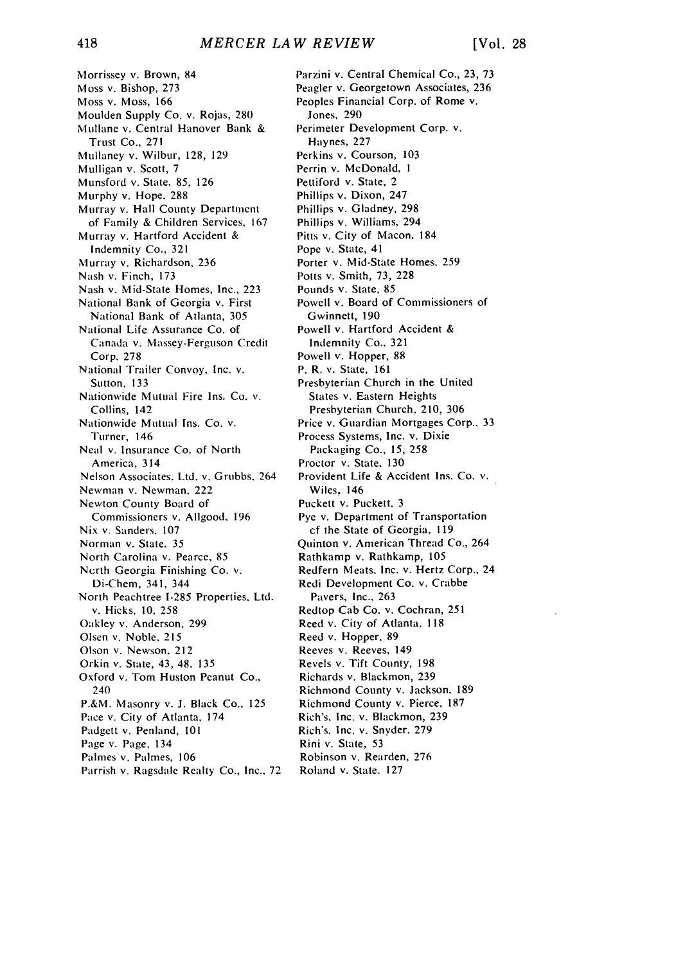Morrissey v. Brown, 84 Moss v. Bishop, 273 Moss v. Moss, 166 Moulden Supply Co. v. Rojas, 280 Mullane v. Central Hanover Bank & Trust Co., 271 Mullaney v. Wilbur, 128, 129 Mulligan v. Scott, 7 Munsford v. State, 85, 126 Murphy v. Hope. 288 Murray v. Hall County Department of Family & Children Services, 167 Murray v. Hartford Accident & Indemnity Co., 321 Murray v. Richardson, 236 Nash v. Finch, 173 Nash v. Mid-State Homes, Inc., 223 National Bank of Georgia v. First National Bank of Atlanta, 305 National Life Assurance Co. of Canada v. Massey-Ferguson Credit Corp. 278 National Trailer Convoy, Inc. v. Sutton, 133 Nationwide Mutual Fire Ins. Co. v. Collins, 142 Nationwide Mutual Ins. Co. v. Turner, 146 Neal v. Insurance Co. of North America, 314 Nelson Associates. Ltd. v. Grubbs. 264 Newman v. Newman, 222 Newton County Board of Commissioners v. Allgood. 196 Nix v. Sanders. 107 Norman v. State. 35 North Carolina v. Pearce, 85 Ncrth Georgia Finishing Co. v. Di-Chem, 341, 344 North Peachtree 1-285 Properties. Ltd. v. Hicks, 10. 258 Oakley v. Anderson, 299 Olsen v. Noble, 215 Olson v. Newson, 212 Orkin v. State, 43, 48. 135 Oxford v. Tom Huston Peanut Co., 240 P.&M. Masonry v. J. Black Co., 125 Pace v. City of Atlanta, 174 Padgett v. Penland, 101 Page v. Page, 134 Palmes v. Palmes, 106 Parrish v. Ragsdale Realty Co., Inc.. 72 Parzini v. Central Chemical Co., 23, 73 Peagler v. Georgetown Associates, 236 Peoples Financial Corp. of Rome v. Jones, 290 Perimeter Development Corp. v. Haynes, 227 Perkins v. Courson, 103 Perrin v. McDonald, **I** Pettiford v. State, 2 Phillips v. Dixon, 247 Phillips v. Gladney, 298 Phillips v. Williams, 294 Pitts v. City of Macon, 184 Pope v. State, 41 Porter v. Mid-State Homes. 259 Potts v. Smith, 73, 228 Pounds v. State, 85 Powell v. Board of Commissioners of Gwinnett, 190 Powell v. Hartford Accident & Indemnity Co., 321 Powell v. Hopper, 88 P. R. v. State, 161 Presbyterian Church in the United States v. Eastern Heights Presbyterian Church. 210, 306 Price v. Guardian Mortgages Corp.. 33 Process Systems, Inc. v. Dixie Packaging Co., 15, 258 Proctor v. State, 130 Provident Life & Accident Ins. Co. v. Wiles, 146 Puckett v. Puckett, 3 Pye v. Department of Transportation cf the State of Georgia, 119 Quinton v. American Thread Co., 264 Rathkamp v. Rathkamp, 105 Redfern Meats. Inc. v. Hertz Corp., 24 Redi Development Co. v. Crabbe Pavers, Inc., 263 Redtop Cab Co. v. Cochran, 251 Reed v. City of Atlanta. **<sup>118</sup>** Reed v. Hopper, 89 Reeves v. Reeves, 149 Revels v. Tift County, 198 Richards v. Blackmon, 239 Richmond County v. Jackson, 189 Richmond County v. Pierce, 187 Rich's, Inc. v. Blackmon, 239 Rich's. Inc. v. Snyder. 279 Rini v. State, **53** Robinson v. Rearden, 276 Roland v. State. 127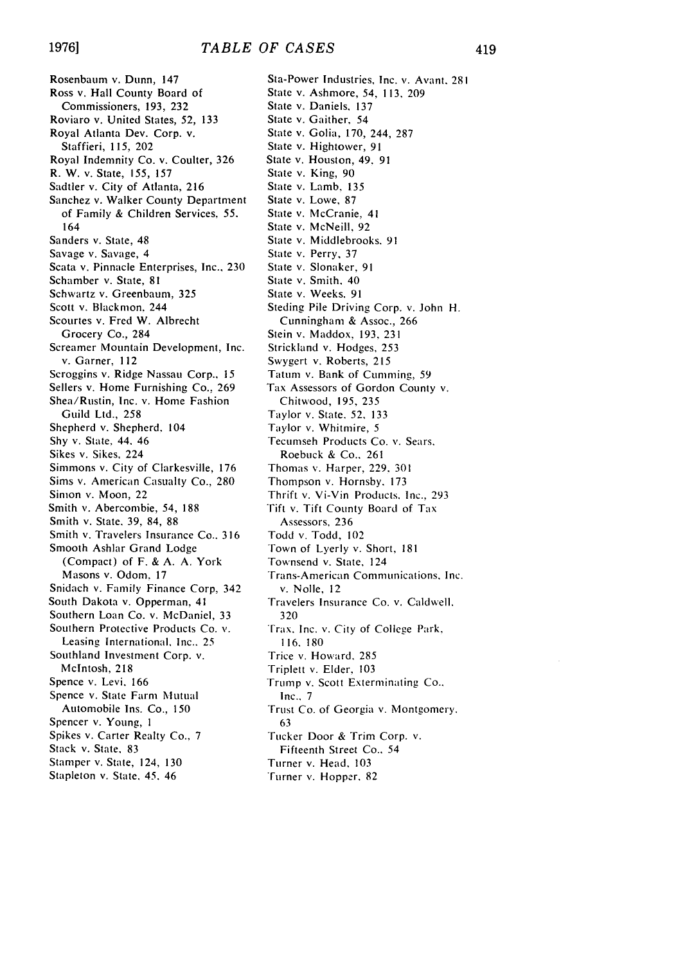Rosenbaum v. Dunn, 147 Ross v. Hall County Board of Commissioners, 193, 232 Roviaro v. United States, 52, 133 Royal Atlanta Dev. Corp. v. Staffieri, 115. 202 Royal Indemnity Co. v. Coulter, 326 R. W. v. State, 155, 157 Sadtler v. City of Atlanta, 216 Sanchez v. Walker County Department of Family & Children Services, 55. 164 Sanders v. State, 48 Savage v. Savage, 4 Scata v. Pinnacle Enterprises, Inc., 230 Schamber v. State, 81 Schwartz v. Greenbaum, 325 Scott v. Blackmon. 244 Scourtes v. Fred W. Albrecht Grocery Co., 284 Screamer Mountain Development, Inc. v. Garner, 112 Scroggins v. Ridge Nassau Corp., 15 Sellers v. Home Furnishing Co., 269 Shea/Rustin, Inc. v. Home Fashion Guild Ltd., 258 Shepherd v. Shepherd, 104 Shy v. State, 44. 46 Sikes v. Sikes, 224 Simmons v. City of Clarkesville, 176 Sims v. American Casualty Co., 280 Simon v. Moon, 22 Smith v. Abercombie, 54, 188 Smith v. State. 39, 84, 88 Smith v. Travelers Insurance Co.. 316 Smooth Ashlar Grand Lodge (Compact) of F. & A. A. York Masons v. Odom, 17 Snidach v. Family Finance Corp, 342 South Dakota v. Opperman, 41 Southern Loan Co. v. McDaniel, 33 Southern Protective Products Co. v. Leasing International, Inc.. 25 Southland Investment Corp. v. McIntosh, 218 Spence v. Levi. 166 Spence v. State Farm Mutual Automobile Ins. Co., **150** Spencer v. Young, **I** Spikes v. Carter Realty Co., 7 Stack v. State, 83 Stamper v. State, 124, 130 Stapleton v. State. 45. 46

Sta-Power Industries, Inc. v. Avant. 281 State v. Ashmore, **54,** 113, 209 State v. Daniels, 137 State v. Gaither, 54 State v. Golia, 170, 244, 287 State v. Hightower, 91 State v. Houston, 49, 91 State v. King, 90 State v. Lamb. 135 State v. Lowe, 87 State v. McCranie, 41 State v. McNeill, 92 State v. Middlebrooks. 91 State v. Perry, 37 State v. Slonaker, 91 State v. Smith. 40 State v. Weeks. 91 Steding Pile Driving Corp. v. John H. Cunningham & Assoc., 266 Stein v. Maddox, 193, 231 Strickland v. Hodges, 253 Swygert v. Roberts, **215** Tatum v. Bank of Cumming, 59 Tax Assessors of Gordon County v. Chitwood, 195, 235 Taylor v. State. **52,** 133 Taylor v. Whitmire, **5** Tecumseh Products Co. v. Sears. Roebuck & Co., 261 Thomas v. Harper, 229. 301 Thompson v. Hornsby. 173 Thrift v. Vi-Vin Products. Inc., 293 Fift v. Tift County Board of Tax Assessors, 236 Todd v. Todd, 102 Town of Lyerly v. Short, 181 Townsend v. State, 124 Trans-American Communications, Inc. v. Nolle, 12 Travelers Insurance Co. v. Caldwell. 320 [rax. Inc. v. City of College Park. **116. 180** Trice v. Howard, 285 Triplett v. Elder, 103 Trump v. Scott Exterminating Co.. Inc.. 7 Trust Co. of Georgia v. Montgomery. 63 Tucker Door & Trim Corp. v. Fifteenth Street Co., 54 Turner v. Head, 103 Turner **v.** Hopper. 82